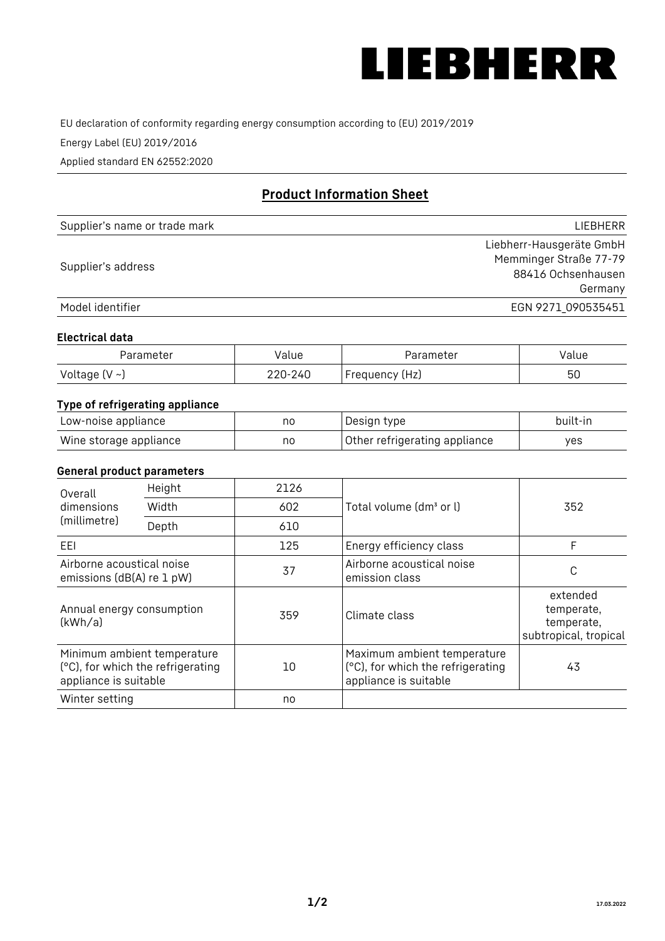

EU declaration of conformity regarding energy consumption according to (EU) 2019/2019

Energy Label (EU) 2019/2016

Applied standard EN 62552:2020

# **Product Information Sheet**

| Supplier's name or trade mark | <b>LIFBHFRR</b>          |
|-------------------------------|--------------------------|
|                               | Liebherr-Hausgeräte GmbH |
| Supplier's address            | Memminger Straße 77-79   |
|                               | 88416 Ochsenhausen       |
|                               | Germany                  |
| Model identifier              | EGN 9271 090535451       |

#### **Electrical data**

| Parameter           | Value   | Parameter      | Value |
|---------------------|---------|----------------|-------|
| Voltage (V $\sim$ ) | 220-240 | Frequency (Hz) | 50    |

### **Type of refrigerating appliance**

| Low-noise appliance    | no | Design type                   | built-in |
|------------------------|----|-------------------------------|----------|
| Wine storage appliance | no | Other refrigerating appliance | yes      |

#### **General product parameters**

| Height<br>Overall                                      |                                                                  | 2126 |                                                                                           |                                                               |
|--------------------------------------------------------|------------------------------------------------------------------|------|-------------------------------------------------------------------------------------------|---------------------------------------------------------------|
| dimensions<br>(millimetre)                             | Width                                                            | 602  | Total volume (dm <sup>3</sup> or l)                                                       | 352                                                           |
|                                                        | Depth                                                            | 610  |                                                                                           |                                                               |
| EEL                                                    |                                                                  | 125  | Energy efficiency class                                                                   | F                                                             |
| Airborne acoustical noise<br>emissions (dB(A) re 1 pW) |                                                                  | 37   | Airborne acoustical noise<br>emission class                                               | C                                                             |
| Annual energy consumption<br>(kWh/a)                   |                                                                  | 359  | Climate class                                                                             | extended<br>temperate,<br>temperate,<br>subtropical, tropical |
| appliance is suitable                                  | Minimum ambient temperature<br>(°C), for which the refrigerating | 10   | Maximum ambient temperature<br>(°C), for which the refrigerating<br>appliance is suitable | 43                                                            |
| Winter setting                                         |                                                                  | no   |                                                                                           |                                                               |